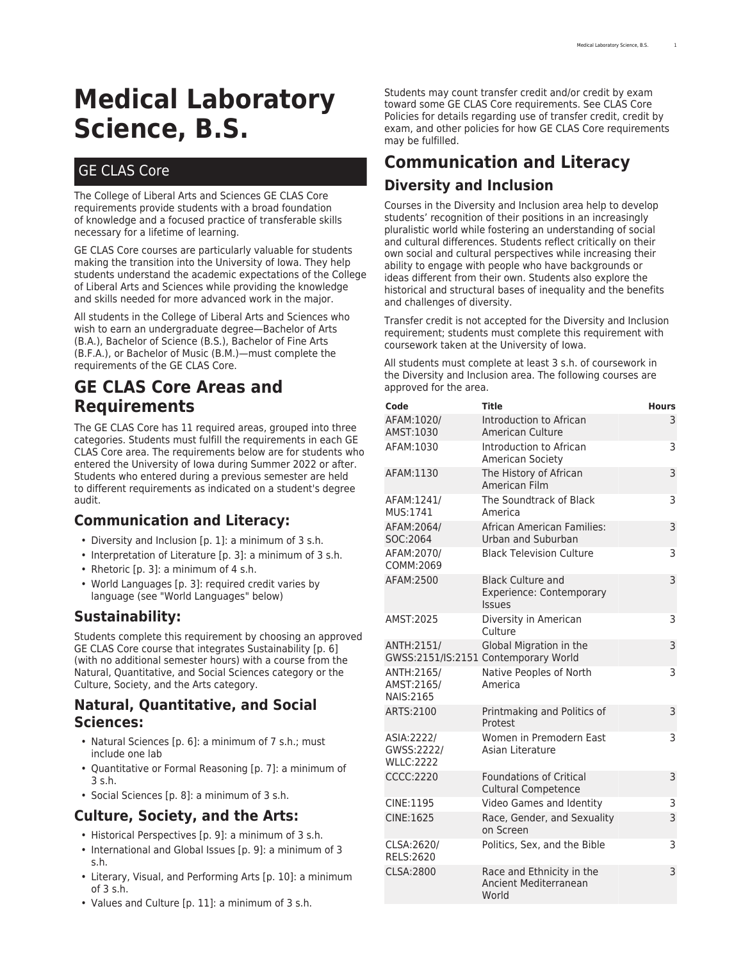# **Medical Laboratory Science, B.S.**

# GE CLAS Core

The College of Liberal Arts and Sciences GE CLAS Core requirements provide students with a broad foundation of knowledge and a focused practice of transferable skills necessary for a lifetime of learning.

GE CLAS Core courses are particularly valuable for students making the transition into the University of Iowa. They help students understand the academic expectations of the College of Liberal Arts and Sciences while providing the knowledge and skills needed for more advanced work in the major.

All students in the College of Liberal Arts and Sciences who wish to earn an undergraduate degree—Bachelor of Arts (B.A.), Bachelor of Science (B.S.), Bachelor of Fine Arts (B.F.A.), or Bachelor of Music (B.M.)—must complete the requirements of the GE CLAS Core.

# **GE CLAS Core Areas and Requirements**

The GE CLAS Core has 11 required areas, grouped into three categories. Students must fulfill the requirements in each GE CLAS Core area. The requirements below are for students who entered the University of Iowa during Summer 2022 or after. Students who entered during a previous semester are held to different requirements as indicated on a student's degree audit.

### **Communication and Literacy:**

- [Diversity and Inclusion](#page-0-0) [[p. 1](#page-0-0)]: a minimum of 3 s.h.
- [Interpretation of Literature \[p. 3\]](#page-2-0): a minimum of 3 s.h.
- [Rhetoric](#page-2-1) [[p. 3](#page-2-1)]: a minimum of 4 s.h.
- [World Languages \[p. 3\]](#page-2-2): required credit varies by language (see "World Languages" below)

### **Sustainability:**

Students complete this requirement by choosing an approved GE CLAS Core course that integrates [Sustainability \[p. 6\]](#page-5-0) (with no additional semester hours) with a course from the Natural, Quantitative, and Social Sciences category or the Culture, Society, and the Arts category.

### **Natural, Quantitative, and Social Sciences:**

- [Natural Sciences](#page-5-1) [[p. 6](#page-5-1)]: a minimum of 7 s.h.; must include one lab
- [Quantitative or Formal Reasoning](#page-6-0) [[p. 7](#page-6-0)]: a minimum of 3 s.h.
- [Social Sciences \[p. 8\]](#page-7-0): a minimum of 3 s.h.

# **Culture, Society, and the Arts:**

- [Historical Perspectives \[p. 9\]](#page-8-0): a minimum of 3 s.h.
- [International and Global Issues \[p. 9\]](#page-8-1): a minimum of 3 s.h.
- [Literary, Visual, and Performing Arts](#page-9-0) [[p. 10](#page-9-0)]: a minimum of 3 s.h.
- [Values and Culture \[p. 11\]](#page-10-0): a minimum of 3 s.h.

Students may count transfer credit and/or credit by exam toward some GE CLAS Core requirements. See [CLAS Core](https://clas.uiowa.edu/students/handbook/requirements-bachelors-degree/#policies) [Policies](https://clas.uiowa.edu/students/handbook/requirements-bachelors-degree/#policies) for details regarding use of transfer credit, credit by exam, and other policies for how GE CLAS Core requirements may be fulfilled.

# <span id="page-0-0"></span>**Communication and Literacy Diversity and Inclusion**

Courses in the Diversity and Inclusion area help to develop students' recognition of their positions in an increasingly pluralistic world while fostering an understanding of social and cultural differences. Students reflect critically on their own social and cultural perspectives while increasing their ability to engage with people who have backgrounds or ideas different from their own. Students also explore the historical and structural bases of inequality and the benefits and challenges of diversity.

Transfer credit is not accepted for the Diversity and Inclusion requirement; students must complete this requirement with coursework taken at the University of Iowa.

All students must complete at least 3 s.h. of coursework in the Diversity and Inclusion area. The following courses are approved for the area.

| Code                                          | Title                                                                        | Hours |
|-----------------------------------------------|------------------------------------------------------------------------------|-------|
| AFAM:1020/<br>AMST:1030                       | Introduction to African<br><b>American Culture</b>                           | 3     |
| AFAM:1030                                     | Introduction to African<br>American Society                                  | 3     |
| AFAM:1130                                     | The History of African<br>American Film                                      | 3     |
| AFAM:1241/<br>MUS:1741                        | The Soundtrack of Black<br>America                                           | 3     |
| AFAM:2064/<br>SOC:2064                        | <b>African American Families:</b><br>Urban and Suburban                      | 3     |
| AFAM: 2070/<br>COMM:2069                      | <b>Black Television Culture</b>                                              | 3     |
| AFAM:2500                                     | <b>Black Culture and</b><br><b>Experience: Contemporary</b><br><b>Issues</b> | 3     |
| AMST:2025                                     | Diversity in American<br>Culture                                             | 3     |
| ANTH:2151/                                    | Global Migration in the<br>GWSS:2151/IS:2151 Contemporary World              | 3     |
| ANTH:2165/<br>AMST:2165/<br><b>NAIS:2165</b>  | Native Peoples of North<br>America                                           | 3     |
| ARTS:2100                                     | Printmaking and Politics of<br>Protest                                       | 3     |
| ASIA: 2222/<br>GWSS:2222/<br><b>WLLC:2222</b> | Women in Premodern East<br>Asian Literature                                  | 3     |
| <b>CCCC:2220</b>                              | <b>Foundations of Critical</b><br><b>Cultural Competence</b>                 | 3     |
| CINE:1195                                     | Video Games and Identity                                                     | 3     |
| <b>CINE:1625</b>                              | Race, Gender, and Sexuality<br>on Screen                                     | 3     |
| CLSA: 2620/<br>RELS:2620                      | Politics, Sex, and the Bible                                                 | 3     |
| CLSA:2800                                     | Race and Ethnicity in the<br>Ancient Mediterranean<br>World                  | 3     |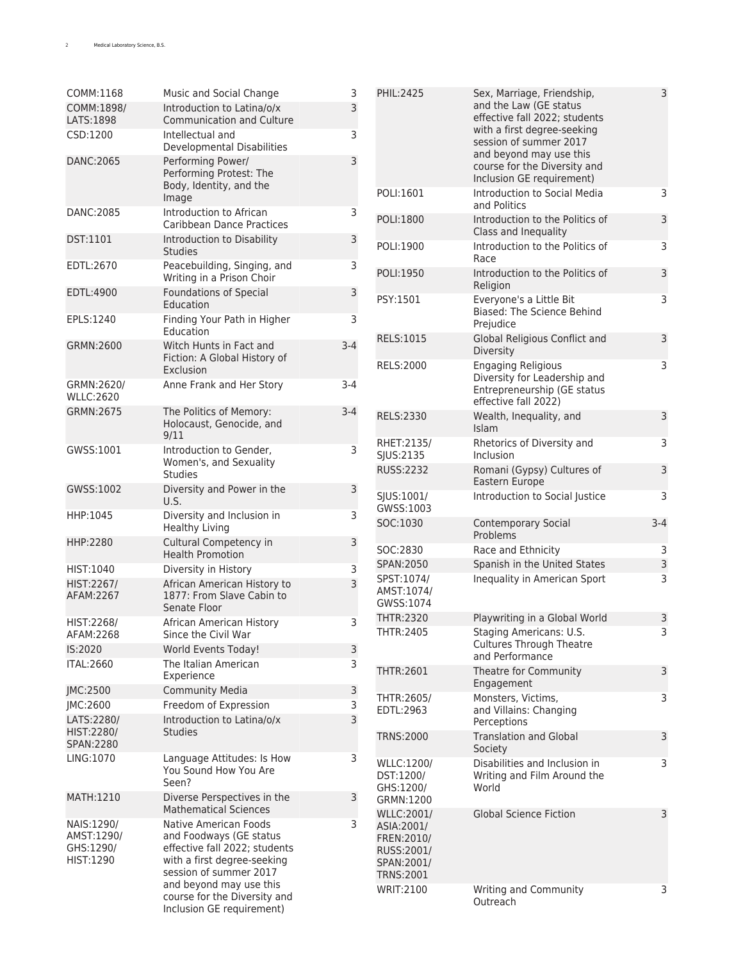| COMM:1168                                          | Music and Social Change                                                                                                                    | 3           | PHIL:2425                                                          | Sex, Marriage, Friendship,                                                          | 3            |
|----------------------------------------------------|--------------------------------------------------------------------------------------------------------------------------------------------|-------------|--------------------------------------------------------------------|-------------------------------------------------------------------------------------|--------------|
| COMM:1898/<br>LATS:1898                            | Introduction to Latina/o/x<br><b>Communication and Culture</b>                                                                             | 3           |                                                                    | and the Law (GE status<br>effective fall 2022; students                             |              |
| CSD:1200                                           | Intellectual and<br>Developmental Disabilities                                                                                             | 3           |                                                                    | with a first degree-seeking<br>session of summer 2017<br>and beyond may use this    |              |
| DANC:2065                                          | Performing Power/<br>Performing Protest: The<br>Body, Identity, and the                                                                    | 3           |                                                                    | course for the Diversity and<br>Inclusion GE requirement)                           |              |
| DANC:2085                                          | Image<br>Introduction to African                                                                                                           | 3           | POLI:1601                                                          | Introduction to Social Media<br>and Politics                                        | 3            |
|                                                    | Caribbean Dance Practices                                                                                                                  |             | POLI:1800                                                          | Introduction to the Politics of<br>Class and Inequality                             | 3            |
| DST:1101                                           | Introduction to Disability<br><b>Studies</b>                                                                                               | $\mathsf 3$ | POLI:1900                                                          | Introduction to the Politics of<br>Race                                             | 3            |
| EDTL:2670                                          | Peacebuilding, Singing, and<br>Writing in a Prison Choir                                                                                   | 3           | POLI:1950                                                          | Introduction to the Politics of<br>Religion                                         | 3            |
| EDTL:4900                                          | <b>Foundations of Special</b><br>Education                                                                                                 | $\mathsf 3$ | PSY:1501                                                           | Everyone's a Little Bit<br>Biased: The Science Behind                               | 3            |
| EPLS:1240                                          | Finding Your Path in Higher<br>Education                                                                                                   | 3           | RELS:1015                                                          | Prejudice<br>Global Religious Conflict and                                          | 3            |
| GRMN:2600                                          | Witch Hunts in Fact and<br>Fiction: A Global History of<br>Exclusion                                                                       | $3 - 4$     | RELS:2000                                                          | Diversity<br><b>Engaging Religious</b>                                              | 3            |
| GRMN:2620/<br><b>WLLC:2620</b>                     | Anne Frank and Her Story                                                                                                                   | $3 - 4$     |                                                                    | Diversity for Leadership and<br>Entrepreneurship (GE status<br>effective fall 2022) |              |
| GRMN:2675                                          | The Politics of Memory:<br>Holocaust, Genocide, and<br>9/11                                                                                | $3-4$       | RELS:2330                                                          | Wealth, Inequality, and<br>Islam                                                    | 3            |
| GWSS:1001                                          | Introduction to Gender,<br>Women's, and Sexuality                                                                                          | 3           | RHET:2135/<br>SJUS:2135                                            | Rhetorics of Diversity and<br>Inclusion                                             | 3            |
| GWSS:1002                                          | <b>Studies</b><br>Diversity and Power in the                                                                                               | $\mathsf 3$ | RUSS:2232                                                          | Romani (Gypsy) Cultures of<br>Eastern Europe                                        | 3            |
| HHP:1045                                           | U.S.                                                                                                                                       | 3           | SJUS:1001/<br>GWSS:1003                                            | Introduction to Social Justice                                                      | 3            |
|                                                    | Diversity and Inclusion in<br><b>Healthy Living</b>                                                                                        |             | SOC:1030                                                           | <b>Contemporary Social</b><br>Problems                                              | $3 - 4$      |
| HHP:2280                                           | Cultural Competency in<br><b>Health Promotion</b>                                                                                          | 3           | SOC:2830                                                           | Race and Ethnicity                                                                  | 3            |
| HIST:1040                                          | Diversity in History                                                                                                                       | 3           | SPAN:2050                                                          | Spanish in the United States                                                        | $\mathsf{3}$ |
| HIST:2267/<br>AFAM:2267                            | African American History to<br>1877: From Slave Cabin to<br>Senate Floor                                                                   | 3           | SPST:1074/<br>AMST:1074/<br>GWSS:1074                              | Inequality in American Sport                                                        | 3            |
| HIST:2268/<br>AFAM:2268                            | African American History<br>Since the Civil War                                                                                            | 3           | THTR:2320<br>THTR:2405                                             | Playwriting in a Global World<br>Staging Americans: U.S.                            | 3<br>3       |
| IS:2020                                            | <b>World Events Today!</b>                                                                                                                 | $\mathsf 3$ |                                                                    | <b>Cultures Through Theatre</b><br>and Performance                                  |              |
| <b>ITAL:2660</b>                                   | The Italian American<br>Experience                                                                                                         | 3           | THTR:2601                                                          | Theatre for Community<br>Engagement                                                 | 3            |
| JMC:2500                                           | <b>Community Media</b>                                                                                                                     | $\mathsf 3$ | THTR:2605/                                                         | Monsters, Victims,                                                                  | 3            |
| JMC:2600                                           | Freedom of Expression                                                                                                                      | 3           | EDTL:2963                                                          | and Villains: Changing                                                              |              |
| LATS:2280/<br>HIST:2280/<br>SPAN:2280              | Introduction to Latina/o/x<br><b>Studies</b>                                                                                               | 3           | <b>TRNS:2000</b>                                                   | Perceptions<br><b>Translation and Global</b>                                        | 3            |
| LING:1070                                          | Language Attitudes: Is How                                                                                                                 | 3           |                                                                    | Society                                                                             |              |
|                                                    | You Sound How You Are<br>Seen?                                                                                                             |             | WLLC:1200/<br>DST:1200/<br>GHS:1200/                               | Disabilities and Inclusion in<br>Writing and Film Around the<br>World               | 3            |
| MATH:1210                                          | Diverse Perspectives in the<br><b>Mathematical Sciences</b>                                                                                | 3           | GRMN:1200<br>WLLC:2001/                                            | <b>Global Science Fiction</b>                                                       | 3            |
| NAIS:1290/<br>AMST:1290/<br>GHS:1290/<br>HIST:1290 | Native American Foods<br>and Foodways (GE status<br>effective fall 2022; students<br>with a first degree-seeking<br>session of summer 2017 | 3           | ASIA:2001/<br>FREN: 2010/<br>RUSS:2001/<br>SPAN:2001/<br>TRNS:2001 |                                                                                     |              |
|                                                    | and beyond may use this<br>course for the Diversity and<br>Inclusion GE requirement)                                                       |             | WRIT:2100                                                          | Writing and Community<br>Outreach                                                   | 3            |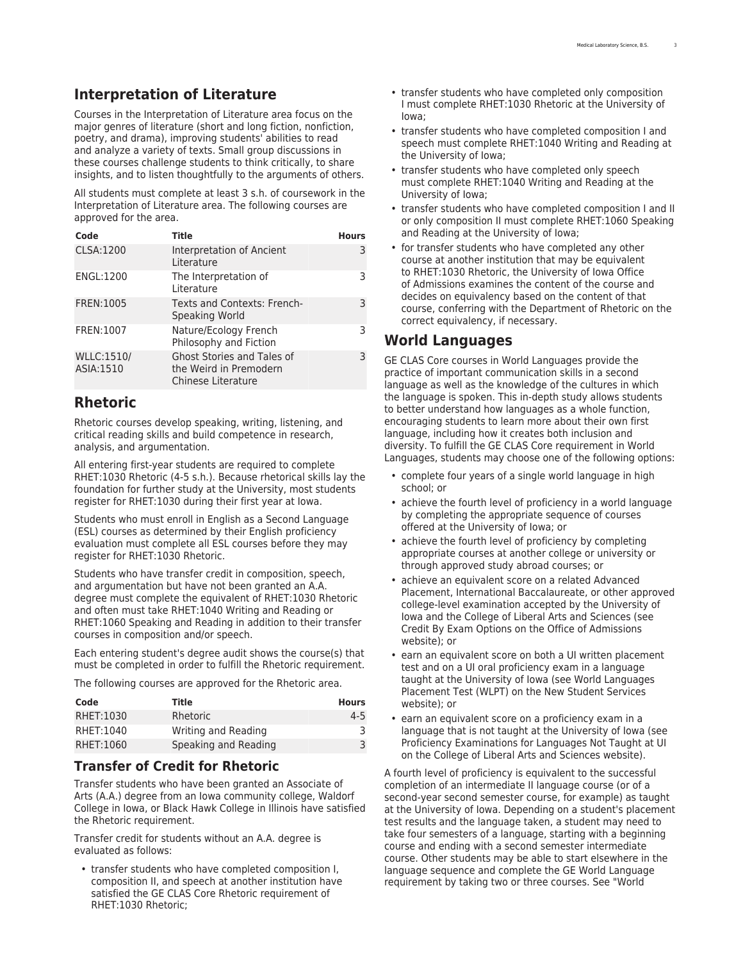# <span id="page-2-0"></span>**Interpretation of Literature**

Courses in the Interpretation of Literature area focus on the major genres of literature (short and long fiction, nonfiction, poetry, and drama), improving students' abilities to read and analyze a variety of texts. Small group discussions in these courses challenge students to think critically, to share insights, and to listen thoughtfully to the arguments of others.

All students must complete at least 3 s.h. of coursework in the Interpretation of Literature area. The following courses are approved for the area.

| Code                           | <b>Title</b>                                                               | <b>Hours</b> |
|--------------------------------|----------------------------------------------------------------------------|--------------|
| CLSA:1200                      | Interpretation of Ancient<br>Literature                                    | 3            |
| ENGL:1200                      | The Interpretation of<br>Literature                                        | 3            |
| FREN:1005                      | Texts and Contexts: French-<br>Speaking World                              | 3            |
| FREN:1007                      | Nature/Ecology French<br>Philosophy and Fiction                            | З            |
| <b>WLLC:1510/</b><br>ASIA:1510 | Ghost Stories and Tales of<br>the Weird in Premodern<br>Chinese Literature | 3            |

# <span id="page-2-1"></span>**Rhetoric**

Rhetoric courses develop speaking, writing, listening, and critical reading skills and build competence in research, analysis, and argumentation.

All entering first-year students are required to complete RHET:1030 Rhetoric (4-5 s.h.). Because rhetorical skills lay the foundation for further study at the University, most students register for RHET:1030 during their first year at Iowa.

Students who must enroll in English as a Second Language (ESL) courses as determined by their English proficiency evaluation must complete all ESL courses before they may register for RHET:1030 Rhetoric.

Students who have transfer credit in composition, speech, and argumentation but have not been granted an A.A. degree must complete the equivalent of RHET:1030 Rhetoric and often must take RHET:1040 Writing and Reading or RHET:1060 Speaking and Reading in addition to their transfer courses in composition and/or speech.

Each entering student's degree audit shows the course(s) that must be completed in order to fulfill the Rhetoric requirement.

The following courses are approved for the Rhetoric area.

| Code      | Title                | <b>Hours</b> |
|-----------|----------------------|--------------|
| RHET:1030 | Rhetoric             | $4 - 5$      |
| RHET:1040 | Writing and Reading  |              |
| RHET:1060 | Speaking and Reading |              |

#### **Transfer of Credit for Rhetoric**

Transfer students who have been granted an Associate of Arts (A.A.) degree from an Iowa community college, Waldorf College in Iowa, or Black Hawk College in Illinois have satisfied the Rhetoric requirement.

Transfer credit for students without an A.A. degree is evaluated as follows:

• transfer students who have completed composition I, composition II, and speech at another institution have satisfied the GE CLAS Core Rhetoric requirement of RHET:1030 Rhetoric;

- transfer students who have completed only composition I must complete RHET:1030 Rhetoric at the University of Iowa;
- transfer students who have completed composition I and speech must complete RHET:1040 Writing and Reading at the University of Iowa;
- transfer students who have completed only speech must complete RHET:1040 Writing and Reading at the University of Iowa;
- transfer students who have completed composition I and II or only composition II must complete RHET:1060 Speaking and Reading at the University of Iowa;
- for transfer students who have completed any other course at another institution that may be equivalent to RHET:1030 Rhetoric, the University of Iowa Office of Admissions examines the content of the course and decides on equivalency based on the content of that course, conferring with the Department of Rhetoric on the correct equivalency, if necessary.

## <span id="page-2-2"></span>**World Languages**

GE CLAS Core courses in World Languages provide the practice of important communication skills in a second language as well as the knowledge of the cultures in which the language is spoken. This in-depth study allows students to better understand how languages as a whole function, encouraging students to learn more about their own first language, including how it creates both inclusion and diversity. To fulfill the GE CLAS Core requirement in World Languages, students may choose one of the following options:

- complete four years of a single world language in high school; or
- achieve the fourth level of proficiency in a world language by completing the appropriate sequence of courses offered at the University of Iowa; or
- achieve the fourth level of proficiency by completing appropriate courses at another college or university or through approved study abroad courses; or
- achieve an equivalent score on a related Advanced Placement, International Baccalaureate, or other approved college-level examination accepted by the University of Iowa and the College of Liberal Arts and Sciences (see [Credit By Exam Options](https://admissions.uiowa.edu/academics/credit-exam-options/) on the Office of Admissions website); or
- earn an equivalent score on both a UI written placement test and on a UI oral proficiency exam in a language taught at the University of Iowa (see [World Languages](https://newstudents.uiowa.edu/preparing-take-ui-placement-tests/#World%20Lan) [Placement Test \(WLPT\)](https://newstudents.uiowa.edu/preparing-take-ui-placement-tests/#World%20Lan) on the New Student Services website); or
- earn an equivalent score on a proficiency exam in a language that is not taught at the University of Iowa (see [Proficiency Examinations for Languages Not Taught at UI](https://clas.uiowa.edu/students/proficiency-examinations-languages-not-taught-ui/#overlay-context=proficiency-examinations-languages-not-taught-ui) on the College of Liberal Arts and Sciences website).

A fourth level of proficiency is equivalent to the successful completion of an intermediate II language course (or of a second-year second semester course, for example) as taught at the University of Iowa. Depending on a student's placement test results and the language taken, a student may need to take four semesters of a language, starting with a beginning course and ending with a second semester intermediate course. Other students may be able to start elsewhere in the language sequence and complete the GE World Language requirement by taking two or three courses. See "World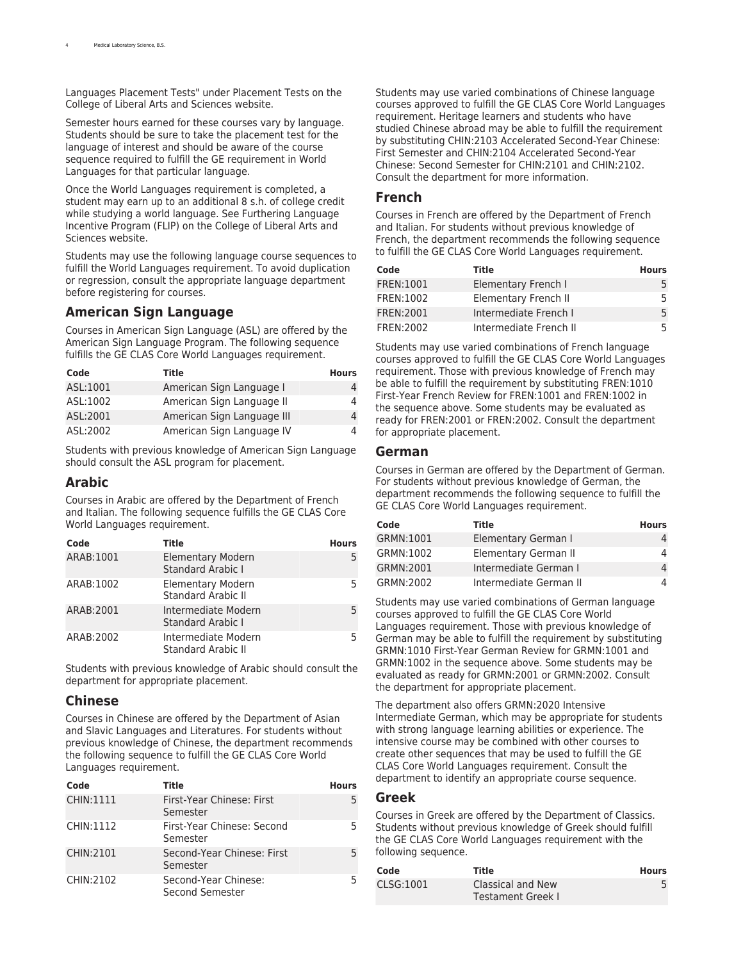Languages Placement Tests" under [Placement Tests](https://clas.uiowa.edu/students/students-general-education-clas-core/general-education-clas-core-policies/#Placement%20Tests) on the College of Liberal Arts and Sciences website.

Semester hours earned for these courses vary by language. Students should be sure to take the placement test for the language of interest and should be aware of the course sequence required to fulfill the GE requirement in World Languages for that particular language.

Once the World Languages requirement is completed, a student may earn up to an additional 8 s.h. of college credit while studying a world language. See [Furthering Language](https://clas.uiowa.edu/students/furthering-language-incentive-program-flip/) [Incentive Program \(FLIP\)](https://clas.uiowa.edu/students/furthering-language-incentive-program-flip/) on the College of Liberal Arts and Sciences website.

Students may use the following language course sequences to fulfill the World Languages requirement. To avoid duplication or regression, consult the appropriate language department before registering for courses.

#### **American Sign Language**

Courses in American Sign Language (ASL) are offered by the [American Sign Language](http://catalog.registrar.uiowa.edu/liberal-arts-sciences/american-sign-language/) Program. The following sequence fulfills the GE CLAS Core World Languages requirement.

| Code      | Title                      | <b>Hours</b> |
|-----------|----------------------------|--------------|
| ASL:1001  | American Sign Language I   |              |
| ASL:1002  | American Sign Language II  |              |
| ASL:2001  | American Sign Language III |              |
| ASI: 2002 | American Sign Language IV  |              |

Students with previous knowledge of American Sign Language should consult the ASL program for placement.

#### **Arabic**

Courses in Arabic are offered by the Department of [French](http://catalog.registrar.uiowa.edu/liberal-arts-sciences/french-italian/) [and Italian.](http://catalog.registrar.uiowa.edu/liberal-arts-sciences/french-italian/) The following sequence fulfills the GE CLAS Core World Languages requirement.

| Code      | Title                                                 | <b>Hours</b> |
|-----------|-------------------------------------------------------|--------------|
| ARAB:1001 | <b>Elementary Modern</b><br><b>Standard Arabic I</b>  |              |
| ARAB:1002 | <b>Elementary Modern</b><br><b>Standard Arabic II</b> |              |
| ARAB:2001 | Intermediate Modern<br><b>Standard Arabic I</b>       |              |
| ARAB:2002 | Intermediate Modern<br><b>Standard Arabic II</b>      |              |

Students with previous knowledge of Arabic should consult the department for appropriate placement.

#### **Chinese**

Courses in Chinese are offered by the Department of [Asian](http://catalog.registrar.uiowa.edu/liberal-arts-sciences/asian-slavic-languages-literatures/) [and Slavic Languages and Literatures](http://catalog.registrar.uiowa.edu/liberal-arts-sciences/asian-slavic-languages-literatures/). For students without previous knowledge of Chinese, the department recommends the following sequence to fulfill the GE CLAS Core World Languages requirement.

| Code      | Title                                   | <b>Hours</b> |
|-----------|-----------------------------------------|--------------|
| CHIN:1111 | First-Year Chinese: First<br>Semester   | 5            |
| CHIN:1112 | First-Year Chinese: Second<br>Semester  | 5            |
| CHIN:2101 | Second-Year Chinese: First<br>Semester  | 5            |
| CHIN:2102 | Second-Year Chinese:<br>Second Semester | 5            |

Students may use varied combinations of Chinese language courses approved to fulfill the GE CLAS Core World Languages requirement. Heritage learners and students who have studied Chinese abroad may be able to fulfill the requirement by substituting CHIN:2103 Accelerated Second-Year Chinese: First Semester and CHIN:2104 Accelerated Second-Year Chinese: Second Semester for CHIN:2101 and CHIN:2102. Consult the department for more information.

#### **French**

Courses in French are offered by the Department of [French](http://catalog.registrar.uiowa.edu/liberal-arts-sciences/french-italian/) [and Italian](http://catalog.registrar.uiowa.edu/liberal-arts-sciences/french-italian/). For students without previous knowledge of French, the department recommends the following sequence to fulfill the GE CLAS Core World Languages requirement.

| Code             | Title                  | <b>Hours</b> |
|------------------|------------------------|--------------|
| <b>FREN:1001</b> | Elementary French I    | 5.           |
| FREN: 1002       | Elementary French II   | 5.           |
| FREN: 2001       | Intermediate French I  | 5            |
| FREN: 2002       | Intermediate French II | 5.           |

Students may use varied combinations of French language courses approved to fulfill the GE CLAS Core World Languages requirement. Those with previous knowledge of French may be able to fulfill the requirement by substituting FREN:1010 First-Year French Review for FREN:1001 and FREN:1002 in the sequence above. Some students may be evaluated as ready for FREN:2001 or FREN:2002. Consult the department for appropriate placement.

#### **German**

Courses in German are offered by the Department of [German.](http://catalog.registrar.uiowa.edu/liberal-arts-sciences/german/) For students without previous knowledge of German, the department recommends the following sequence to fulfill the GE CLAS Core World Languages requirement.

| Code      | Title                  | <b>Hours</b> |
|-----------|------------------------|--------------|
| GRMN:1001 | Elementary German I    | 4            |
| GRMN:1002 | Elementary German II   | 4            |
| GRMN:2001 | Intermediate German I  | 4            |
| GRMN:2002 | Intermediate German II | 4            |

Students may use varied combinations of German language courses approved to fulfill the GE CLAS Core World Languages requirement. Those with previous knowledge of German may be able to fulfill the requirement by substituting GRMN:1010 First-Year German Review for GRMN:1001 and GRMN:1002 in the sequence above. Some students may be evaluated as ready for GRMN:2001 or GRMN:2002. Consult the department for appropriate placement.

The department also offers [GRMN:2020](http://search.uiowa.edu/search/?site=default_collection&proxystylesheet=default_frontend&sitesearch=www.registrar.uiowa.edu%2Fregistrar%2Fcatalog&q=GRMN%3A2020) Intensive Intermediate German, which may be appropriate for students with strong language learning abilities or experience. The intensive course may be combined with other courses to create other sequences that may be used to fulfill the GE CLAS Core World Languages requirement. Consult the department to identify an appropriate course sequence.

#### **Greek**

Courses in Greek are offered by the Department of [Classics.](http://catalog.registrar.uiowa.edu/liberal-arts-sciences/classics/) Students without previous knowledge of Greek should fulfill the GE CLAS Core World Languages requirement with the following sequence.

| Code      | Title                                  | <b>Hours</b> |
|-----------|----------------------------------------|--------------|
| CLSG:1001 | Classical and New<br>Testament Greek I |              |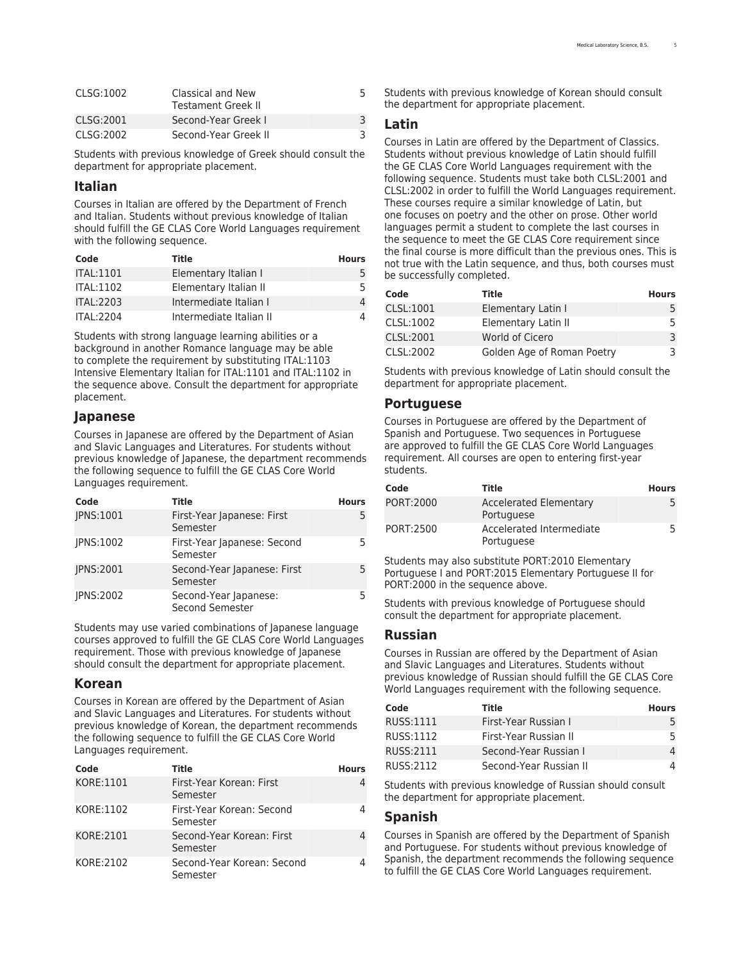| CLSG:1002 | Classical and New<br><b>Testament Greek II</b> |  |
|-----------|------------------------------------------------|--|
| CLSG:2001 | Second-Year Greek L                            |  |
| CLSG:2002 | Second-Year Greek II                           |  |

Students with previous knowledge of Greek should consult the department for appropriate placement.

#### **Italian**

Courses in Italian are offered by the Department of [French](http://catalog.registrar.uiowa.edu/liberal-arts-sciences/french-italian/) [and Italian.](http://catalog.registrar.uiowa.edu/liberal-arts-sciences/french-italian/) Students without previous knowledge of Italian should fulfill the GE CLAS Core World Languages requirement with the following sequence.

| Code             | Title                   | <b>Hours</b> |
|------------------|-------------------------|--------------|
| ITAL:1101        | Elementary Italian I    |              |
| <b>ITAL:1102</b> | Elementary Italian II   | 5.           |
| <b>ITAL:2203</b> | Intermediate Italian I  | 4            |
| <b>ITAL:2204</b> | Intermediate Italian II | 4            |

Students with strong language learning abilities or a background in another Romance language may be able to complete the requirement by substituting ITAL:1103 Intensive Elementary Italian for ITAL:1101 and ITAL:1102 in the sequence above. Consult the department for appropriate placement.

#### **Japanese**

Courses in Japanese are offered by the Department of [Asian](http://catalog.registrar.uiowa.edu/liberal-arts-sciences/asian-slavic-languages-literatures/) [and Slavic Languages and Literatures](http://catalog.registrar.uiowa.edu/liberal-arts-sciences/asian-slavic-languages-literatures/). For students without previous knowledge of Japanese, the department recommends the following sequence to fulfill the GE CLAS Core World Languages requirement.

| Code             | Title                                    | <b>Hours</b> |
|------------------|------------------------------------------|--------------|
| JPNS:1001        | First-Year Japanese: First<br>Semester   | 5            |
| <b>IPNS:1002</b> | First-Year Japanese: Second<br>Semester  | 5            |
| <b>IPNS:2001</b> | Second-Year Japanese: First<br>Semester  |              |
| <b>IPNS:2002</b> | Second-Year Japanese:<br>Second Semester |              |

Students may use varied combinations of Japanese language courses approved to fulfill the GE CLAS Core World Languages requirement. Those with previous knowledge of Japanese should consult the department for appropriate placement.

#### **Korean**

Courses in Korean are offered by the Department of [Asian](http://catalog.registrar.uiowa.edu/liberal-arts-sciences/asian-slavic-languages-literatures/) [and Slavic Languages and Literatures](http://catalog.registrar.uiowa.edu/liberal-arts-sciences/asian-slavic-languages-literatures/). For students without previous knowledge of Korean, the department recommends the following sequence to fulfill the GE CLAS Core World Languages requirement.

| Code      | Title                                  | <b>Hours</b> |
|-----------|----------------------------------------|--------------|
| KORE:1101 | First-Year Korean: First<br>Semester   | 4            |
| KORE:1102 | First-Year Korean: Second<br>Semester  |              |
| KORE:2101 | Second-Year Korean: First<br>Semester  |              |
| KORE:2102 | Second-Year Korean: Second<br>Semester |              |

Students with previous knowledge of Korean should consult the department for appropriate placement.

#### **Latin**

Courses in Latin are offered by the Department of [Classics.](http://catalog.registrar.uiowa.edu/liberal-arts-sciences/classics/) Students without previous knowledge of Latin should fulfill the GE CLAS Core World Languages requirement with the following sequence. Students must take both CLSL:2001 and CLSL:2002 in order to fulfill the World Languages requirement. These courses require a similar knowledge of Latin, but one focuses on poetry and the other on prose. Other world languages permit a student to complete the last courses in the sequence to meet the GE CLAS Core requirement since the final course is more difficult than the previous ones. This is not true with the Latin sequence, and thus, both courses must be successfully completed.

| Code      | Title                      | <b>Hours</b> |
|-----------|----------------------------|--------------|
| CLSL:1001 | Elementary Latin I         | 5.           |
| CLSL:1002 | Elementary Latin II        | 5.           |
| CLSL:2001 | World of Cicero            | 3            |
| CLSL:2002 | Golden Age of Roman Poetry | 3            |

Students with previous knowledge of Latin should consult the department for appropriate placement.

#### **Portuguese**

Courses in Portuguese are offered by the Department of [Spanish and Portuguese.](http://catalog.registrar.uiowa.edu/liberal-arts-sciences/spanish-portuguese/) Two sequences in Portuguese are approved to fulfill the GE CLAS Core World Languages requirement. All courses are open to entering first-year students.

| Code      | Title                                       | <b>Hours</b> |
|-----------|---------------------------------------------|--------------|
| PORT:2000 | <b>Accelerated Elementary</b><br>Portuguese | 5.           |
| PORT:2500 | Accelerated Intermediate<br>Portuguese      | 5.           |

Students may also substitute PORT:2010 Elementary Portuguese I and PORT:2015 Elementary Portuguese II for PORT:2000 in the sequence above.

Students with previous knowledge of Portuguese should consult the department for appropriate placement.

#### **Russian**

Courses in Russian are offered by the Department of [Asian](http://catalog.registrar.uiowa.edu/liberal-arts-sciences/asian-slavic-languages-literatures/) [and Slavic Languages and Literatures.](http://catalog.registrar.uiowa.edu/liberal-arts-sciences/asian-slavic-languages-literatures/) Students without previous knowledge of Russian should fulfill the GE CLAS Core World Languages requirement with the following sequence.

| Code      | Title                  | <b>Hours</b> |
|-----------|------------------------|--------------|
| RUSS:1111 | First-Year Russian L   | 5            |
| RUSS:1112 | First-Year Russian II  | 5            |
| RUSS:2111 | Second-Year Russian I  | 4            |
| RUSS:2112 | Second-Year Russian II | 4            |

Students with previous knowledge of Russian should consult the department for appropriate placement.

#### **Spanish**

Courses in Spanish are offered by the Department of [Spanish](http://catalog.registrar.uiowa.edu/liberal-arts-sciences/spanish-portuguese/) [and Portuguese.](http://catalog.registrar.uiowa.edu/liberal-arts-sciences/spanish-portuguese/) For students without previous knowledge of Spanish, the department recommends the following sequence to fulfill the GE CLAS Core World Languages requirement.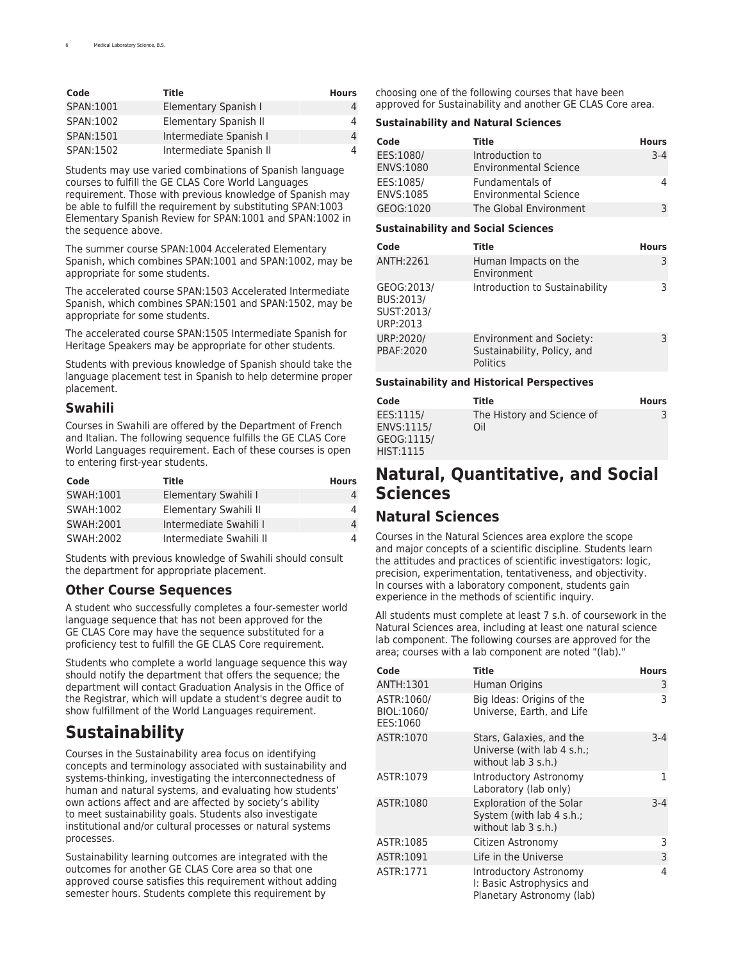| Code      | Title                   | <b>Hours</b> |
|-----------|-------------------------|--------------|
| SPAN:1001 | Elementary Spanish I    |              |
| SPAN:1002 | Elementary Spanish II   |              |
| SPAN:1501 | Intermediate Spanish I  |              |
| SPAN:1502 | Intermediate Spanish II |              |

Students may use varied combinations of Spanish language courses to fulfill the GE CLAS Core World Languages requirement. Those with previous knowledge of Spanish may be able to fulfill the requirement by substituting SPAN:1003 Elementary Spanish Review for SPAN:1001 and SPAN:1002 in the sequence above.

The summer course SPAN:1004 Accelerated Elementary Spanish, which combines SPAN:1001 and SPAN:1002, may be appropriate for some students.

The accelerated course SPAN:1503 Accelerated Intermediate Spanish, which combines SPAN:1501 and SPAN:1502, may be appropriate for some students.

The accelerated course SPAN:1505 Intermediate Spanish for Heritage Speakers may be appropriate for other students.

Students with previous knowledge of Spanish should take the [language placement test](https://newstudents.uiowa.edu/placement-tests/) in Spanish to help determine proper placement.

#### **Swahili**

Courses in Swahili are offered by the Department of [French](http://catalog.registrar.uiowa.edu/liberal-arts-sciences/french-italian/) [and Italian.](http://catalog.registrar.uiowa.edu/liberal-arts-sciences/french-italian/) The following sequence fulfills the GE CLAS Core World Languages requirement. Each of these courses is open to entering first-year students.

| Code      | Title                   | <b>Hours</b> |
|-----------|-------------------------|--------------|
| SWAH:1001 | Elementary Swahili I    |              |
| SWAH:1002 | Elementary Swahili II   |              |
| SWAH:2001 | Intermediate Swahili I  | $\Delta$     |
| SWAH:2002 | Intermediate Swahili II |              |

Students with previous knowledge of Swahili should consult the department for appropriate placement.

### **Other Course Sequences**

A student who successfully completes a four-semester world language sequence that has not been approved for the GE CLAS Core may have the sequence substituted for a proficiency test to fulfill the GE CLAS Core requirement.

Students who complete a world language sequence this way should notify the department that offers the sequence; the department will contact Graduation Analysis in the Office of the Registrar, which will update a student's degree audit to show fulfillment of the World Languages requirement.

# <span id="page-5-0"></span>**Sustainability**

Courses in the Sustainability area focus on identifying concepts and terminology associated with sustainability and systems-thinking, investigating the interconnectedness of human and natural systems, and evaluating how students' own actions affect and are affected by society's ability to meet sustainability goals. Students also investigate institutional and/or cultural processes or natural systems processes.

Sustainability learning outcomes are integrated with the outcomes for another GE CLAS Core area so that one approved course satisfies this requirement without adding semester hours. Students complete this requirement by

choosing one of the following courses that have been approved for Sustainability and another GE CLAS Core area.

#### **Sustainability and Natural Sciences**

| Code                   | Title                                           | <b>Hours</b> |
|------------------------|-------------------------------------------------|--------------|
| EES:1080/<br>ENVS:1080 | Introduction to<br><b>Environmental Science</b> | $3 - 4$      |
| EES:1085/<br>ENVS:1085 | Fundamentals of<br><b>Environmental Science</b> |              |
| GEOG:1020              | The Global Environment                          |              |

#### **Sustainability and Social Sciences**

| Code                                              | Title                                                                      | <b>Hours</b> |
|---------------------------------------------------|----------------------------------------------------------------------------|--------------|
| ANTH:2261                                         | Human Impacts on the<br>Environment                                        | 3            |
| GEOG:2013/<br>BUS:2013/<br>SUST:2013/<br>URP:2013 | Introduction to Sustainability                                             | 3            |
| URP:2020/<br>PBAF:2020                            | <b>Environment and Society:</b><br>Sustainability, Policy, and<br>Politics | 3            |

#### **Sustainability and Historical Perspectives**

| Code                                                      | Title                             | <b>Hours</b> |
|-----------------------------------------------------------|-----------------------------------|--------------|
| EES:1115/<br>ENVS:1115/<br>GEOG:1115/<br><b>HIST:1115</b> | The History and Science of<br>Oil |              |

# **Natural, Quantitative, and Social Sciences**

# <span id="page-5-1"></span>**Natural Sciences**

Courses in the Natural Sciences area explore the scope and major concepts of a scientific discipline. Students learn the attitudes and practices of scientific investigators: logic, precision, experimentation, tentativeness, and objectivity. In courses with a laboratory component, students gain experience in the methods of scientific inquiry.

All students must complete at least 7 s.h. of coursework in the Natural Sciences area, including at least one natural science lab component. The following courses are approved for the area; courses with a lab component are noted "(lab)."

| Code                                 | Title                                                                              | <b>Hours</b> |
|--------------------------------------|------------------------------------------------------------------------------------|--------------|
| ANTH:1301                            | Human Origins                                                                      | 3            |
| ASTR:1060/<br>BIOL:1060/<br>EES:1060 | Big Ideas: Origins of the<br>Universe, Earth, and Life                             | 3            |
| ASTR:1070                            | Stars, Galaxies, and the<br>Universe (with lab 4 s.h.;<br>without lab 3 s.h.)      | $3-4$        |
| ASTR:1079                            | Introductory Astronomy<br>Laboratory (lab only)                                    | 1            |
| ASTR:1080                            | <b>Exploration of the Solar</b><br>System (with lab 4 s.h.;<br>without lab 3 s.h.) | $3-4$        |
| ASTR:1085                            | Citizen Astronomy                                                                  | 3            |
| ASTR:1091                            | Life in the Universe                                                               | 3            |
| ASTR:1771                            | Introductory Astronomy<br>I: Basic Astrophysics and<br>Planetary Astronomy (lab)   | 4            |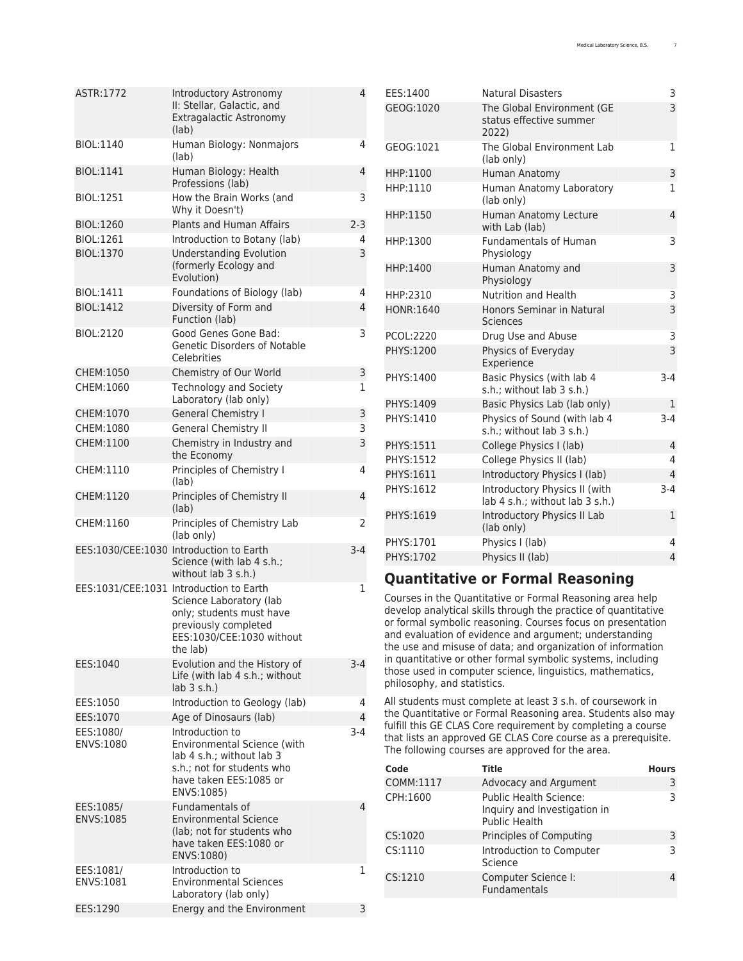| ASTR:1772              | Introductory Astronomy<br>II: Stellar, Galactic, and<br>Extragalactic Astronomy<br>(lab)                                                                        | 4       |
|------------------------|-----------------------------------------------------------------------------------------------------------------------------------------------------------------|---------|
| BIOL:1140              | Human Biology: Nonmajors<br>(lab)                                                                                                                               | 4       |
| BIOL:1141              | Human Biology: Health<br>Professions (lab)                                                                                                                      | 4       |
| <b>BIOL:1251</b>       | How the Brain Works (and<br>Why it Doesn't)                                                                                                                     | 3       |
| BIOL:1260              | Plants and Human Affairs                                                                                                                                        | $2 - 3$ |
| BIOL:1261              | Introduction to Botany (lab)                                                                                                                                    | 4       |
| BIOL:1370              | <b>Understanding Evolution</b><br>(formerly Ecology and<br>Evolution)                                                                                           | 3       |
| BIOL:1411              | Foundations of Biology (lab)                                                                                                                                    | 4       |
| <b>BIOL:1412</b>       | Diversity of Form and<br>Function (lab)                                                                                                                         | 4       |
| BIOL:2120              | Good Genes Gone Bad:<br><b>Genetic Disorders of Notable</b><br>Celebrities                                                                                      | 3       |
| CHEM:1050              | Chemistry of Our World                                                                                                                                          | 3       |
| CHEM:1060              | Technology and Society<br>Laboratory (lab only)                                                                                                                 | 1       |
| CHEM:1070              | <b>General Chemistry I</b>                                                                                                                                      | 3       |
| CHEM:1080              | <b>General Chemistry II</b>                                                                                                                                     | 3       |
| CHEM:1100              | Chemistry in Industry and<br>the Economy                                                                                                                        | 3       |
| CHEM:1110              | Principles of Chemistry I<br>(lab)                                                                                                                              | 4       |
| CHEM:1120              | Principles of Chemistry II<br>(lab)                                                                                                                             | 4       |
| CHEM:1160              | Principles of Chemistry Lab<br>(lab only)                                                                                                                       | 2       |
|                        | EES:1030/CEE:1030 Introduction to Earth<br>Science (with lab 4 s.h.;<br>without lab 3 s.h.)                                                                     | $3-4$   |
|                        | EES:1031/CEE:1031 Introduction to Earth<br>Science Laboratory (lab<br>only; students must have<br>previously completed<br>EES:1030/CEE:1030 without<br>the lab) | 1       |
| EES:1040               | Evolution and the History of<br>Life (with lab 4 s.h.; without<br>lab <sub>3</sub> s.h.                                                                         | $3-4$   |
| EES:1050               | Introduction to Geology (lab)                                                                                                                                   | 4       |
| EES:1070               | Age of Dinosaurs (lab)                                                                                                                                          | 4       |
| EES:1080/<br>ENVS:1080 | Introduction to<br><b>Environmental Science (with)</b><br>lab 4 s.h.; without lab 3<br>s.h.: not for students who<br>have taken EES:1085 or<br>ENVS:1085)       | 3-4     |
| EES:1085/<br>ENVS:1085 | Fundamentals of<br><b>Environmental Science</b><br>(lab; not for students who<br>have taken EES:1080 or<br>ENVS:1080)                                           | 4       |
| EES:1081/<br>ENVS:1081 | Introduction to<br><b>Environmental Sciences</b><br>Laboratory (lab only)                                                                                       | 1       |
| EES:1290               | Energy and the Environment                                                                                                                                      | 3       |
|                        |                                                                                                                                                                 |         |

| EES:1400         | <b>Natural Disasters</b>                                         | 3              |
|------------------|------------------------------------------------------------------|----------------|
| GEOG:1020        | The Global Environment (GE<br>status effective summer<br>2022)   | 3              |
| GEOG:1021        | The Global Environment Lab<br>(lab only)                         | 1              |
| HHP:1100         | Human Anatomy                                                    | 3              |
| HHP:1110         | Human Anatomy Laboratory<br>(lab only)                           | $\mathbf{1}$   |
| HHP:1150         | Human Anatomy Lecture<br>with Lab (lab)                          | $\overline{4}$ |
| HHP:1300         | <b>Fundamentals of Human</b><br>Physiology                       | 3              |
| HHP:1400         | Human Anatomy and<br>Physiology                                  | 3              |
| HHP:2310         | Nutrition and Health                                             | 3              |
| HONR:1640        | <b>Honors Seminar in Natural</b><br><b>Sciences</b>              | 3              |
| PCOL:2220        | Drug Use and Abuse                                               | 3              |
| PHYS:1200        | Physics of Everyday<br>Experience                                | 3              |
| PHYS:1400        | Basic Physics (with lab 4<br>s.h.; without lab 3 s.h.)           | $3-4$          |
| PHYS:1409        | Basic Physics Lab (lab only)                                     | $\mathbf{1}$   |
| PHYS:1410        | Physics of Sound (with lab 4<br>s.h.; without lab 3 s.h.)        | $3-4$          |
| <b>PHYS:1511</b> | College Physics I (lab)                                          | $\overline{4}$ |
| PHYS:1512        | College Physics II (lab)                                         | 4              |
| PHYS:1611        | Introductory Physics I (lab)                                     | $\overline{4}$ |
| PHYS:1612        | Introductory Physics II (with<br>lab 4 s.h.; without lab 3 s.h.) | $3 - 4$        |
| PHYS:1619        | Introductory Physics II Lab<br>(lab only)                        | $\mathbf{1}$   |
| PHYS:1701        | Physics I (lab)                                                  | 4              |
| PHYS:1702        | Physics II (lab)                                                 | $\overline{4}$ |

### <span id="page-6-0"></span>**Quantitative or Formal Reasoning**

Courses in the Quantitative or Formal Reasoning area help develop analytical skills through the practice of quantitative or formal symbolic reasoning. Courses focus on presentation and evaluation of evidence and argument; understanding the use and misuse of data; and organization of information in quantitative or other formal symbolic systems, including those used in computer science, linguistics, mathematics, philosophy, and statistics.

All students must complete at least 3 s.h. of coursework in the Quantitative or Formal Reasoning area. Students also may fulfill this GE CLAS Core requirement by completing a course that lists an approved GE CLAS Core course as a prerequisite. The following courses are approved for the area.

| Code      | <b>Title</b>                                                                          | <b>Hours</b> |
|-----------|---------------------------------------------------------------------------------------|--------------|
| COMM:1117 | Advocacy and Argument                                                                 | 3            |
| CPH:1600  | <b>Public Health Science:</b><br>Inquiry and Investigation in<br><b>Public Health</b> | 3            |
| CS:1020   | Principles of Computing                                                               | 3            |
| CS:1110   | Introduction to Computer<br>Science                                                   | 3            |
| CS:1210   | Computer Science I:<br><b>Fundamentals</b>                                            | 4            |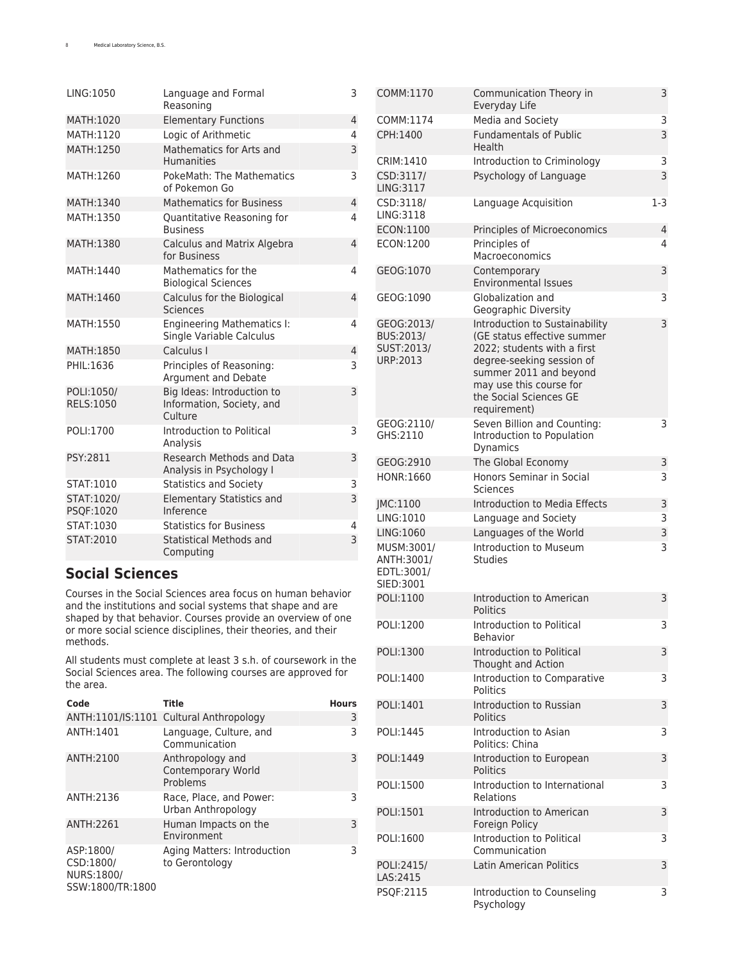| LING:1050                      | Language and Formal<br>Reasoning                                   | 3              |
|--------------------------------|--------------------------------------------------------------------|----------------|
| MATH:1020                      | <b>Elementary Functions</b>                                        | $\overline{4}$ |
| MATH:1120                      | Logic of Arithmetic                                                | 4              |
| MATH:1250                      | Mathematics for Arts and<br><b>Humanities</b>                      | 3              |
| MATH:1260                      | PokeMath: The Mathematics<br>of Pokemon Go                         | 3              |
| MATH:1340                      | <b>Mathematics for Business</b>                                    | $\overline{4}$ |
| MATH:1350                      | Quantitative Reasoning for<br><b>Business</b>                      | 4              |
| MATH:1380                      | Calculus and Matrix Algebra<br>for Business                        | $\overline{4}$ |
| MATH:1440                      | Mathematics for the<br><b>Biological Sciences</b>                  | 4              |
| MATH:1460                      | Calculus for the Biological<br>Sciences                            | $\overline{4}$ |
| MATH:1550                      | <b>Engineering Mathematics I:</b><br>Single Variable Calculus      | 4              |
| MATH:1850                      | Calculus I                                                         | $\overline{4}$ |
| PHIL:1636                      | Principles of Reasoning:<br>Argument and Debate                    | 3              |
| POLI:1050/<br><b>RELS:1050</b> | Big Ideas: Introduction to<br>Information, Society, and<br>Culture | 3              |
| POLI:1700                      | Introduction to Political<br>Analysis                              | 3              |
| PSY:2811                       | Research Methods and Data<br>Analysis in Psychology I              | 3              |
| STAT:1010                      | <b>Statistics and Society</b>                                      | 3              |
| STAT:1020/<br>PSQF:1020        | <b>Elementary Statistics and</b><br>Inference                      | 3              |
| STAT:1030                      | <b>Statistics for Business</b>                                     | 4              |
| STAT:2010                      | <b>Statistical Methods and</b><br>Computing                        | 3              |

# <span id="page-7-0"></span>**Social Sciences**

Courses in the Social Sciences area focus on human behavior and the institutions and social systems that shape and are shaped by that behavior. Courses provide an overview of one or more social science disciplines, their theories, and their methods.

All students must complete at least 3 s.h. of coursework in the Social Sciences area. The following courses are approved for the area.

| Code                                                     | Title                                                     | <b>Hours</b> |
|----------------------------------------------------------|-----------------------------------------------------------|--------------|
|                                                          | ANTH:1101/IS:1101 Cultural Anthropology                   | 3            |
| ANTH:1401                                                | Language, Culture, and<br>Communication                   | 3            |
| ANTH:2100                                                | Anthropology and<br><b>Contemporary World</b><br>Problems | 3            |
| ANTH:2136                                                | Race, Place, and Power:<br>Urban Anthropology             | 3            |
| ANTH:2261                                                | Human Impacts on the<br>Environment                       | 3            |
| ASP:1800/<br>CSD:1800/<br>NURS:1800/<br>SSW:1800/TR:1800 | Aging Matters: Introduction<br>to Gerontology             | 3            |

| COMM:1170                                            | Communication Theory in<br>Everyday Life                                                                                                                                                                                 | 3   |
|------------------------------------------------------|--------------------------------------------------------------------------------------------------------------------------------------------------------------------------------------------------------------------------|-----|
| COMM:1174                                            | Media and Society                                                                                                                                                                                                        | 3   |
| CPH:1400                                             | <b>Fundamentals of Public</b><br>Health                                                                                                                                                                                  | 3   |
| CRIM:1410                                            | Introduction to Criminology                                                                                                                                                                                              | 3   |
| CSD:3117/<br>LING:3117                               | Psychology of Language                                                                                                                                                                                                   | 3   |
| CSD:3118/<br>LING:3118                               | Language Acquisition                                                                                                                                                                                                     | 1-3 |
| ECON:1100                                            | Principles of Microeconomics                                                                                                                                                                                             | 4   |
| ECON:1200                                            | Principles of<br>Macroeconomics                                                                                                                                                                                          | 4   |
| GEOG:1070                                            | Contemporary<br><b>Environmental Issues</b>                                                                                                                                                                              | 3   |
| GEOG:1090                                            | Globalization and<br>Geographic Diversity                                                                                                                                                                                | 3   |
| GEOG:2013/<br>BUS:2013/<br>SUST:2013/<br>URP:2013    | Introduction to Sustainability<br>(GE status effective summer<br>2022; students with a first<br>degree-seeking session of<br>summer 2011 and beyond<br>may use this course for<br>the Social Sciences GE<br>requirement) | 3   |
| GEOG:2110/<br>GHS:2110                               | Seven Billion and Counting:<br>Introduction to Population<br>Dynamics                                                                                                                                                    | 3   |
| GEOG:2910                                            | The Global Economy                                                                                                                                                                                                       | 3   |
| HONR:1660                                            | <b>Honors Seminar in Social</b><br>Sciences                                                                                                                                                                              | 3   |
| JMC:1100                                             | Introduction to Media Effects                                                                                                                                                                                            | 3   |
| LING:1010                                            | Language and Society                                                                                                                                                                                                     | 3   |
| LING:1060                                            | Languages of the World                                                                                                                                                                                                   | 3   |
| MUSM:3001/<br>ANTH: 3001/<br>EDTL:3001/<br>SIED:3001 | Introduction to Museum<br><b>Studies</b>                                                                                                                                                                                 | 3   |
| POLI:1100                                            | Introduction to American<br><b>Politics</b>                                                                                                                                                                              | 3   |
| POLI:1200                                            | Introduction to Political<br>Behavior                                                                                                                                                                                    | 3   |
| POLI:1300                                            | Introduction to Political<br>Thought and Action                                                                                                                                                                          | 3   |
| POLI:1400                                            | Introduction to Comparative<br>Politics                                                                                                                                                                                  | 3   |
| POLI:1401                                            | Introduction to Russian<br>Politics                                                                                                                                                                                      | 3   |
| POLI:1445                                            | Introduction to Asian<br>Politics: China                                                                                                                                                                                 | 3   |
| POLI:1449                                            | Introduction to European<br><b>Politics</b>                                                                                                                                                                              | 3   |
| POLI:1500                                            | Introduction to International<br>Relations                                                                                                                                                                               | 3   |
| POLI:1501                                            | Introduction to American<br>Foreign Policy                                                                                                                                                                               | 3   |
| POLI:1600                                            | Introduction to Political<br>Communication                                                                                                                                                                               | 3   |
| POLI:2415/<br>LAS:2415                               | Latin American Politics                                                                                                                                                                                                  | 3   |
| PSQF:2115                                            | Introduction to Counseling<br>Psychology                                                                                                                                                                                 | 3   |
|                                                      |                                                                                                                                                                                                                          |     |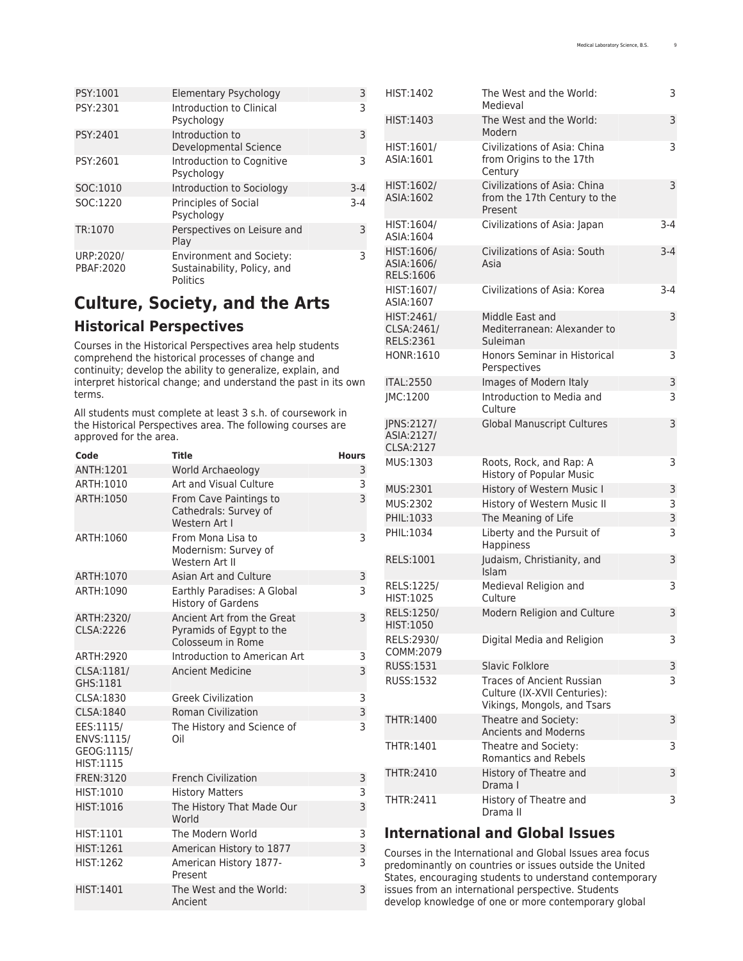| PSY:1001               | Elementary Psychology                                                      | 3       |
|------------------------|----------------------------------------------------------------------------|---------|
| PSY:2301               | Introduction to Clinical<br>Psychology                                     | 3       |
| PSY:2401               | Introduction to<br>Developmental Science                                   | 3       |
| PSY:2601               | Introduction to Cognitive<br>Psychology                                    | 3       |
| SOC:1010               | Introduction to Sociology                                                  | $3-4$   |
| SOC:1220               | <b>Principles of Social</b><br>Psychology                                  | $3 - 4$ |
| TR:1070                | Perspectives on Leisure and<br>Play                                        | 3       |
| URP:2020/<br>PBAF:2020 | <b>Environment and Society:</b><br>Sustainability, Policy, and<br>Politics | ٦       |

# <span id="page-8-0"></span>**Culture, Society, and the Arts Historical Perspectives**

Courses in the Historical Perspectives area help students comprehend the historical processes of change and continuity; develop the ability to generalize, explain, and interpret historical change; and understand the past in its own terms.

All students must complete at least 3 s.h. of coursework in the Historical Perspectives area. The following courses are approved for the area.

| Code                                               | <b>Title</b>                                                                | <b>Hours</b> |
|----------------------------------------------------|-----------------------------------------------------------------------------|--------------|
| ANTH:1201                                          | World Archaeology                                                           | 3            |
| ARTH:1010                                          | Art and Visual Culture                                                      | 3            |
| ARTH:1050                                          | From Cave Paintings to<br>Cathedrals: Survey of<br>Western Art I            | 3            |
| ARTH:1060                                          | From Mona Lisa to<br>Modernism: Survey of<br>Western Art II                 | 3            |
| ARTH:1070                                          | Asian Art and Culture                                                       | 3            |
| ARTH:1090                                          | Earthly Paradises: A Global<br><b>History of Gardens</b>                    | 3            |
| ARTH:2320/<br>CLSA: 2226                           | Ancient Art from the Great<br>Pyramids of Egypt to the<br>Colosseum in Rome | 3            |
| ARTH:2920                                          | Introduction to American Art                                                | 3            |
| CLSA:1181/<br>GHS:1181                             | <b>Ancient Medicine</b>                                                     | 3            |
| CLSA:1830                                          | <b>Greek Civilization</b>                                                   | 3            |
| CLSA:1840                                          | <b>Roman Civilization</b>                                                   | 3            |
| EES:1115/<br>ENVS:1115/<br>GEOG:1115/<br>HIST:1115 | The History and Science of<br>Oil                                           | 3            |
| FREN: 3120                                         | <b>French Civilization</b>                                                  | 3            |
| HIST:1010                                          | <b>History Matters</b>                                                      | 3            |
| HIST:1016                                          | The History That Made Our<br>World                                          | 3            |
| HIST:1101                                          | The Modern World                                                            | 3            |
| HIST:1261                                          | American History to 1877                                                    | 3            |
| HIST:1262                                          | American History 1877-<br>Present                                           | 3            |
| HIST:1401                                          | The West and the World:<br>Ancient                                          | 3            |

| HIST:1402                              | The West and the World:<br>Medieval                                                             | 3       |
|----------------------------------------|-------------------------------------------------------------------------------------------------|---------|
| HIST:1403                              | The West and the World:<br>Modern                                                               | 3       |
| HIST:1601/<br>ASIA:1601                | Civilizations of Asia: China<br>from Origins to the 17th<br>Century                             | 3       |
| HIST:1602/<br>ASIA:1602                | Civilizations of Asia: China<br>from the 17th Century to the<br>Present                         | 3       |
| HIST:1604/<br>ASIA:1604                | Civilizations of Asia: Japan                                                                    | 3-4     |
| HIST:1606/<br>ASIA:1606/<br>RELS:1606  | Civilizations of Asia: South<br>Asia                                                            | $3 - 4$ |
| HIST:1607/<br>ASIA:1607                | Civilizations of Asia: Korea                                                                    | 3-4     |
| HIST:2461/<br>CLSA: 2461/<br>RELS:2361 | Middle East and<br>Mediterranean: Alexander to<br>Suleiman                                      | 3       |
| HONR:1610                              | Honors Seminar in Historical<br>Perspectives                                                    | 3       |
| <b>ITAL:2550</b>                       | Images of Modern Italy                                                                          | 3       |
| JMC:1200                               | Introduction to Media and<br>Culture                                                            | 3       |
| JPNS:2127/<br>ASIA:2127/<br>CLSA: 2127 | <b>Global Manuscript Cultures</b>                                                               | 3       |
| MUS:1303                               | Roots, Rock, and Rap: A<br><b>History of Popular Music</b>                                      | 3       |
| MUS:2301                               | History of Western Music I                                                                      | 3       |
| MUS:2302                               | History of Western Music II                                                                     | 3       |
| PHIL:1033                              | The Meaning of Life                                                                             | 3       |
| PHIL:1034                              | Liberty and the Pursuit of<br><b>Happiness</b>                                                  | 3       |
| RELS:1001                              | Judaism, Christianity, and<br>Islam                                                             | 3       |
| RELS:1225/<br>HIST:1025                | Medieval Religion and<br>Culture                                                                | 3       |
| RELS:1250/<br>HIST:1050                | Modern Religion and Culture                                                                     | 3       |
| RELS:2930/<br>COMM:2079                | Digital Media and Religion                                                                      | 3       |
| RUSS:1531                              | Slavic Folklore                                                                                 | 3       |
| RUSS:1532                              | <b>Traces of Ancient Russian</b><br>Culture (IX-XVII Centuries):<br>Vikings, Mongols, and Tsars | 3       |
| <b>THTR:1400</b>                       | Theatre and Society:<br><b>Ancients and Moderns</b>                                             | 3       |
| THTR:1401                              | Theatre and Society:<br>Romantics and Rebels                                                    | 3       |
| <b>THTR:2410</b>                       | History of Theatre and<br>Drama I                                                               | 3       |
| <b>THTR:2411</b>                       | History of Theatre and<br>Drama II                                                              | 3       |

# <span id="page-8-1"></span>**International and Global Issues**

Courses in the International and Global Issues area focus predominantly on countries or issues outside the United States, encouraging students to understand contemporary issues from an international perspective. Students develop knowledge of one or more contemporary global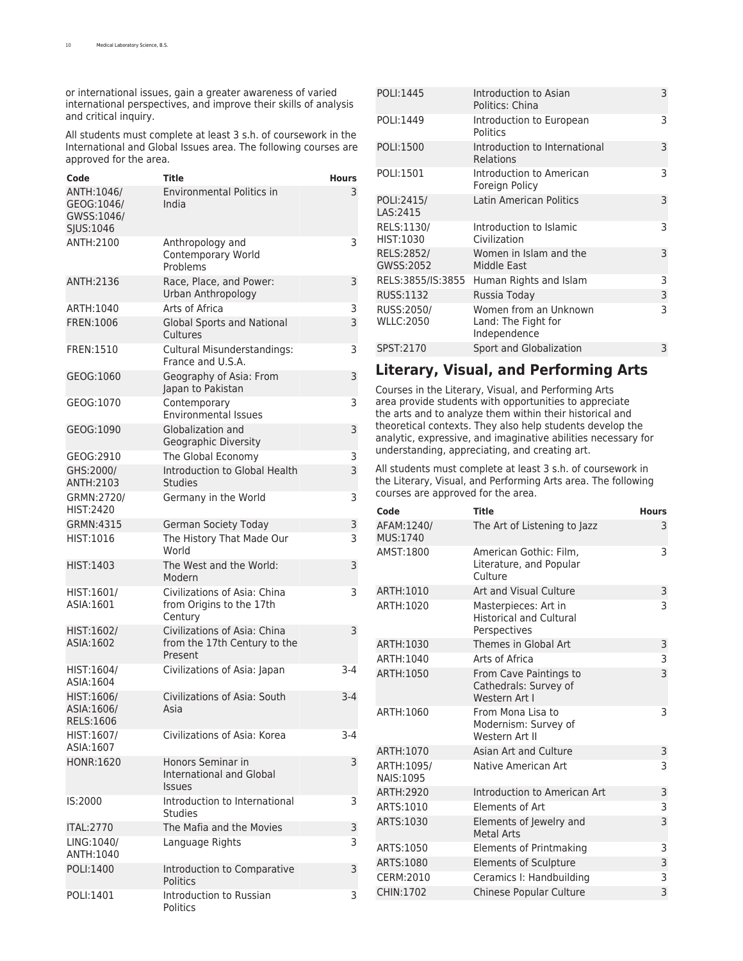or international issues, gain a greater awareness of varied international perspectives, and improve their skills of analysis and critical inquiry.

All students must complete at least 3 s.h. of coursework in the International and Global Issues area. The following courses are approved for the area.

| Code                                                 | Title                                                                   | Hours   |
|------------------------------------------------------|-------------------------------------------------------------------------|---------|
| ANTH: 1046/<br>GEOG:1046/<br>GWSS:1046/<br>SJUS:1046 | <b>Environmental Politics in</b><br>India                               | 3       |
| ANTH:2100                                            | Anthropology and<br>Contemporary World<br>Problems                      | 3       |
| ANTH:2136                                            | Race, Place, and Power:<br>Urban Anthropology                           | 3       |
| ARTH:1040                                            | Arts of Africa                                                          | 3       |
| FREN:1006                                            | <b>Global Sports and National</b><br>Cultures                           | 3       |
| FREN:1510                                            | <b>Cultural Misunderstandings:</b><br>France and U.S.A.                 | 3       |
| GEOG:1060                                            | Geography of Asia: From<br>Japan to Pakistan                            | 3       |
| GEOG:1070                                            | Contemporary<br><b>Environmental Issues</b>                             | 3       |
| GEOG:1090                                            | Globalization and<br>Geographic Diversity                               | 3       |
| GEOG:2910                                            | The Global Economy                                                      | 3       |
| GHS:2000/<br>ANTH:2103                               | Introduction to Global Health<br><b>Studies</b>                         | 3       |
| GRMN:2720/<br><b>HIST:2420</b>                       | Germany in the World                                                    | 3       |
| GRMN:4315                                            | German Society Today                                                    | 3       |
| HIST:1016                                            | The History That Made Our<br>World                                      | 3       |
| HIST:1403                                            | The West and the World:<br>Modern                                       | 3       |
| HIST:1601/<br>ASIA:1601                              | Civilizations of Asia: China<br>from Origins to the 17th<br>Century     | 3       |
| HIST:1602/<br>ASIA:1602                              | Civilizations of Asia: China<br>from the 17th Century to the<br>Present | 3       |
| HIST:1604/<br>ASIA:1604                              | Civilizations of Asia: Japan                                            | $3-4$   |
| HIST:1606/<br>ASIA:1606/<br>RELS:1606                | Civilizations of Asia: South<br>Asia                                    | $3 - 4$ |
| HIST:1607/<br>ASIA:1607                              | Civilizations of Asia: Korea                                            | 3-4     |
| <b>HONR:1620</b>                                     | Honors Seminar in<br>International and Global<br><b>Issues</b>          | 3       |
| IS:2000                                              | Introduction to International<br><b>Studies</b>                         | 3       |
| <b>ITAL:2770</b>                                     | The Mafia and the Movies                                                | 3       |
| LING:1040/<br>ANTH:1040                              | Language Rights                                                         | 3       |
| POLI:1400                                            | Introduction to Comparative<br><b>Politics</b>                          | 3       |
| POLI:1401                                            | Introduction to Russian<br><b>Politics</b>                              | 3       |

| POLI:1445                      | Introduction to Asian<br>Politics: China                     | 3 |
|--------------------------------|--------------------------------------------------------------|---|
| POLI:1449                      | Introduction to European<br>Politics                         | 3 |
| POLI:1500                      | Introduction to International<br>Relations                   | 3 |
| POLI:1501                      | Introduction to American<br>Foreign Policy                   | 3 |
| POLI: 2415/<br>LAS: 2415       | Latin American Politics                                      | 3 |
| RELS:1130/<br>HIST:1030        | Introduction to Islamic<br>Civilization                      | 3 |
| RELS:2852/<br>GWSS:2052        | Women in Islam and the<br>Middle East                        | 3 |
| RELS:3855/IS:3855              | Human Rights and Islam                                       | 3 |
| RUSS:1132                      | Russia Today                                                 | 3 |
| RUSS:2050/<br><b>WLLC:2050</b> | Women from an Unknown<br>Land: The Fight for<br>Independence | 3 |
| SPST:2170                      | Sport and Globalization                                      | 3 |
|                                |                                                              |   |

# <span id="page-9-0"></span>**Literary, Visual, and Performing Arts**

Courses in the Literary, Visual, and Performing Arts area provide students with opportunities to appreciate the arts and to analyze them within their historical and theoretical contexts. They also help students develop the analytic, expressive, and imaginative abilities necessary for understanding, appreciating, and creating art.

All students must complete at least 3 s.h. of coursework in the Literary, Visual, and Performing Arts area. The following courses are approved for the area.

| Code                            | <b>Title</b>                                                           | <b>Hours</b> |
|---------------------------------|------------------------------------------------------------------------|--------------|
| AFAM:1240/<br>MUS:1740          | The Art of Listening to Jazz                                           | 3            |
| AMST:1800                       | American Gothic: Film.<br>Literature, and Popular<br>Culture           | 3            |
| ARTH:1010                       | Art and Visual Culture                                                 | 3            |
| ARTH:1020                       | Masterpieces: Art in<br><b>Historical and Cultural</b><br>Perspectives | 3            |
| ARTH: 1030                      | Themes in Global Art                                                   | 3            |
| ARTH:1040                       | Arts of Africa                                                         | 3            |
| ARTH:1050                       | From Cave Paintings to<br>Cathedrals: Survey of<br>Western Art I       | 3            |
| ARTH:1060                       | From Mona Lisa to<br>Modernism: Survey of<br>Western Art II            | 3            |
| ARTH: 1070                      | Asian Art and Culture                                                  | 3            |
| ARTH: 1095/<br><b>NAIS:1095</b> | Native American Art                                                    | 3            |
| ARTH:2920                       | Introduction to American Art                                           | 3            |
| ARTS:1010                       | Flements of Art                                                        | 3            |
| ARTS:1030                       | Elements of Jewelry and<br><b>Metal Arts</b>                           | 3            |
| ARTS:1050                       | <b>Elements of Printmaking</b>                                         | 3            |
| ARTS:1080                       | <b>Elements of Sculpture</b>                                           | 3            |
| CERM:2010                       | Ceramics I: Handbuilding                                               | 3            |
| CHIN:1702                       | <b>Chinese Popular Culture</b>                                         | 3            |
|                                 |                                                                        |              |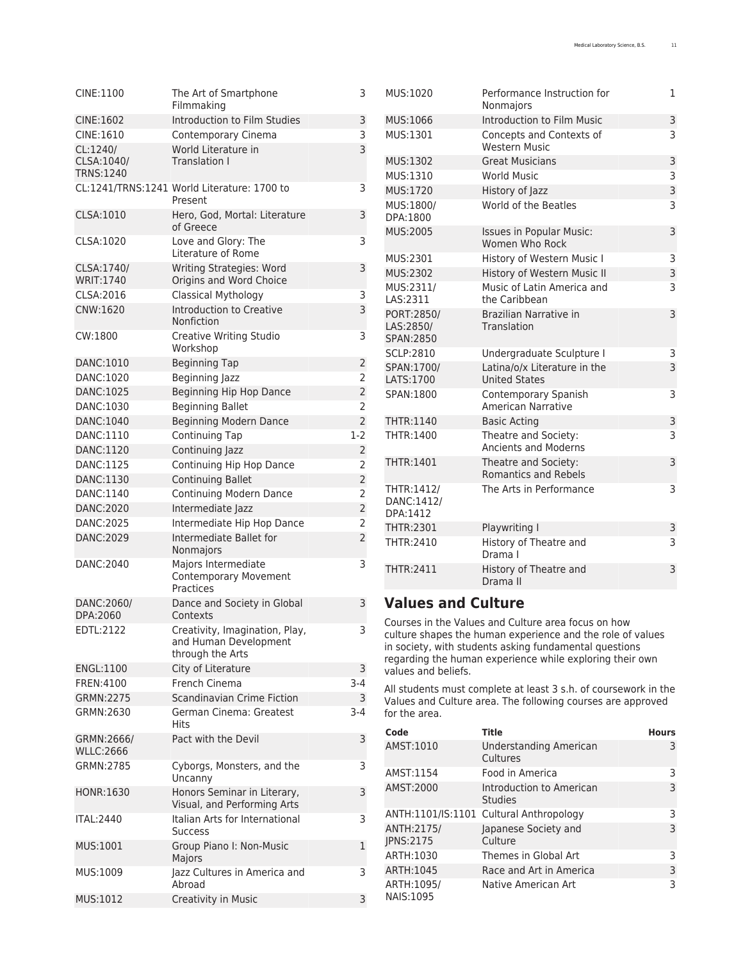| CINE:1100                      | The Art of Smartphone<br>Filmmaking                              | 3              | MΙ        |
|--------------------------------|------------------------------------------------------------------|----------------|-----------|
| CINE:1602                      | Introduction to Film Studies                                     | 3              | MΙ        |
| CINE:1610                      | Contemporary Cinema                                              | 3              | Μl        |
| CL:1240/                       | World Literature in                                              | 3              |           |
| CLSA:1040/                     | Translation I                                                    |                | MΙ        |
| <b>TRNS:1240</b>               |                                                                  |                | Μl        |
|                                | CL:1241/TRNS:1241 World Literature: 1700 to<br>Present           | 3              | M<br>Μl   |
| CLSA:1010                      | Hero, God, Mortal: Literature<br>of Greece                       | 3              | DF<br>M   |
| CLSA:1020                      | Love and Glory: The<br>Literature of Rome                        | 3              |           |
| CLSA:1740/<br><b>WRIT:1740</b> | Writing Strategies: Word<br>Origins and Word Choice              | 3              | Μl<br>M   |
| CLSA:2016                      | Classical Mythology                                              | 3              | Μl        |
| CNW:1620                       | Introduction to Creative                                         | 3              | LA        |
|                                | Nonfiction                                                       |                | PC<br>LA  |
| CW:1800                        | Creative Writing Studio<br>Workshop                              | 3              | SP<br>SC  |
| DANC:1010                      | <b>Beginning Tap</b>                                             | 2              | SP        |
| DANC:1020                      | <b>Beginning Jazz</b>                                            | 2              | LA        |
| DANC:1025                      | Beginning Hip Hop Dance                                          | $\overline{2}$ | SP        |
| DANC:1030                      | <b>Beginning Ballet</b>                                          | 2              |           |
| DANC:1040                      | <b>Beginning Modern Dance</b>                                    | $\overline{2}$ | ΤF        |
| DANC:1110                      | Continuing Tap                                                   | $1-2$          | ΤF        |
| DANC:1120                      | Continuing Jazz                                                  | 2              |           |
| DANC:1125                      | Continuing Hip Hop Dance                                         | 2              | ΤF        |
| DANC:1130                      | <b>Continuing Ballet</b>                                         | $\overline{2}$ |           |
| DANC:1140                      | <b>Continuing Modern Dance</b>                                   | 2              | Τŀ        |
| DANC:2020                      | Intermediate Jazz                                                | $\overline{2}$ | D/<br>DF  |
| DANC:2025                      | Intermediate Hip Hop Dance                                       | 2              | ΤF        |
| DANC:2029                      | Intermediate Ballet for<br>Nonmajors                             | $\overline{c}$ | Τŀ        |
| DANC:2040                      | Majors Intermediate<br><b>Contemporary Movement</b><br>Practices | 3              | TH        |
| DANC:2060/<br>DPA:2060         | Dance and Society in Global<br>Contexts                          | 3              | V         |
| EDTL:2122                      | Creativity, Imagination, Play,<br>and Human Development          | 3              | Co<br>cu  |
|                                | through the Arts                                                 |                | in<br>re  |
| ENGL:1100                      | City of Literature                                               | 3              | va        |
| FREN: 4100                     | French Cinema                                                    | $3-4$          | All       |
| GRMN:2275                      | Scandinavian Crime Fiction                                       | 3              | Va        |
| GRMN:2630                      | German Cinema: Greatest<br><b>Hits</b>                           | 3-4            | for       |
| GRMN:2666/<br><b>WLLC:2666</b> | Pact with the Devil                                              | 3              | Co<br>A٨  |
| GRMN:2785                      | Cyborgs, Monsters, and the<br>Uncanny                            | 3              | Α١        |
| <b>HONR:1630</b>               | Honors Seminar in Literary,<br>Visual, and Performing Arts       | 3              | A٨        |
| <b>ITAL:2440</b>               | Italian Arts for International<br><b>Success</b>                 | 3              | АΝ<br>AP  |
| MUS:1001                       | Group Piano I: Non-Music<br>Majors                               | 1              | JPI<br>AF |
| MUS:1009                       | Jazz Cultures in America and<br>Abroad                           | 3              | AF<br>AF  |
| MUS:1012                       | Creativity in Music                                              | 3              | N/        |

|  | MUS:1020                             | Performance Instruction for<br>Nonmajors             | 1 |
|--|--------------------------------------|------------------------------------------------------|---|
|  | MUS:1066                             | Introduction to Film Music                           | 3 |
|  | MUS:1301                             | Concepts and Contexts of<br><b>Western Music</b>     | 3 |
|  | MUS:1302                             | <b>Great Musicians</b>                               | 3 |
|  | MUS:1310                             | <b>World Music</b>                                   | 3 |
|  | MUS:1720                             | History of Jazz                                      | 3 |
|  | MUS:1800/<br>DPA:1800                | World of the Beatles                                 | 3 |
|  | MUS:2005                             | <b>Issues in Popular Music:</b><br>Women Who Rock    | 3 |
|  | MUS:2301                             | History of Western Music I                           | 3 |
|  | MUS:2302                             | History of Western Music II                          | 3 |
|  | MUS:2311/<br>LAS:2311                | Music of Latin America and<br>the Caribbean          | 3 |
|  | PORT:2850/<br>LAS:2850/<br>SPAN:2850 | Brazilian Narrative in<br>Translation                | 3 |
|  | SCLP:2810                            | Undergraduate Sculpture I                            | 3 |
|  | SPAN:1700/<br>LATS:1700              | Latina/o/x Literature in the<br><b>United States</b> | 3 |
|  | SPAN:1800                            | Contemporary Spanish<br>American Narrative           | 3 |
|  | THTR:1140                            | <b>Basic Acting</b>                                  | 3 |
|  | THTR:1400                            | Theatre and Society:<br><b>Ancients and Moderns</b>  | 3 |
|  | THTR:1401                            | Theatre and Society:<br><b>Romantics and Rebels</b>  | 3 |
|  | THTR:1412/<br>DANC:1412/<br>DPA:1412 | The Arts in Performance                              | 3 |
|  | THTR:2301                            | Playwriting I                                        | 3 |
|  | THTR:2410                            | History of Theatre and<br>Drama I                    | 3 |
|  | THTR: 2411                           | History of Theatre and<br>Drama II                   | 3 |

# <span id="page-10-0"></span>**Values and Culture**

ourses in the Values and Culture area focus on how culture shapes the human experience and the role of values in society, with students asking fundamental questions regarding the human experience while exploring their own lues and beliefs.

All students must complete at least 3 s.h. of coursework in the Values and Culture area. The following courses are approved  $\cdot$  the area.

| Code                           | Title                                      | <b>Hours</b> |
|--------------------------------|--------------------------------------------|--------------|
| AMST:1010                      | Understanding American<br>Cultures         | 3            |
| AMST:1154                      | Food in America                            | 3            |
| AMST:2000                      | Introduction to American<br><b>Studies</b> | 3            |
|                                | ANTH:1101/IS:1101 Cultural Anthropology    | 3            |
| ANTH:2175/<br>JPNS:2175        | Japanese Society and<br>Culture            | 3            |
| ARTH:1030                      | Themes in Global Art                       | 3            |
| ARTH:1045                      | Race and Art in America                    | 3            |
| ARTH:1095/<br><b>NAIS:1095</b> | Native American Art                        | 3            |